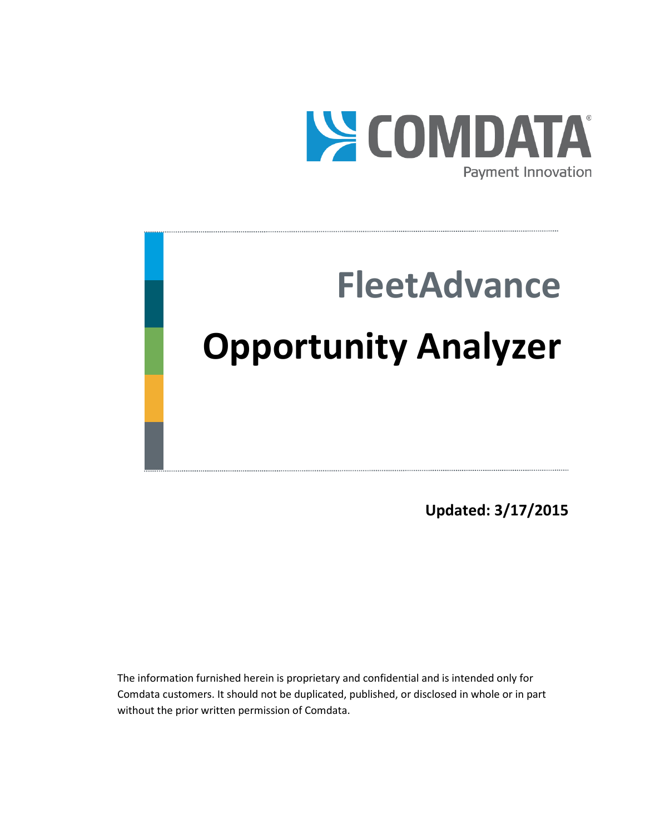

# **FleetAdvance Opportunity Analyzer**

**Updated: 3/17/2015**

The information furnished herein is proprietary and confidential and is intended only for Comdata customers. It should not be duplicated, published, or disclosed in whole or in part without the prior written permission of Comdata.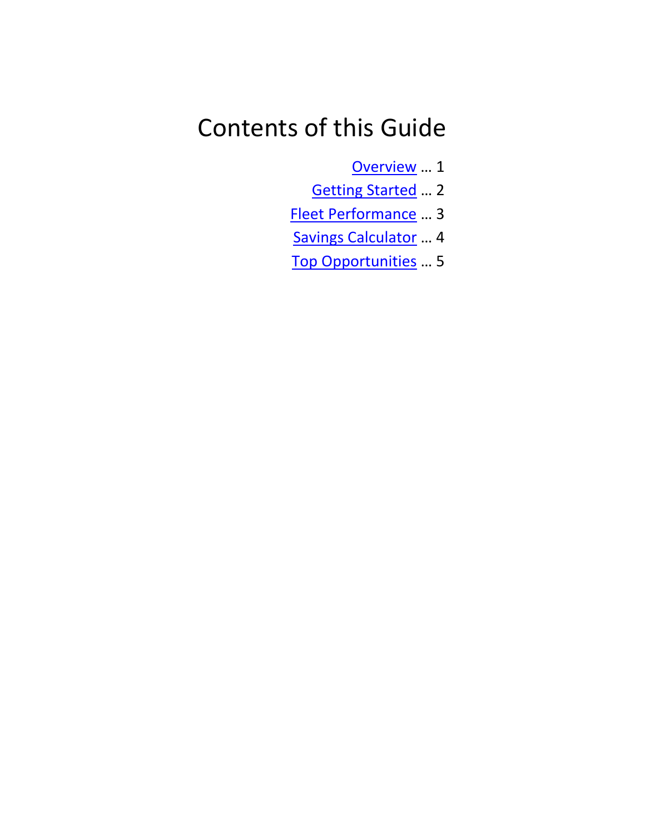## Contents of this Guide

[Overview](#page-1-0) … 1

- [Getting Started](#page-3-0) … 2
- [Fleet Performance](#page-4-0) … 3
- [Savings Calculator](#page-5-0) … 4
- <span id="page-1-0"></span>[Top Opportunities](#page-6-0) … 5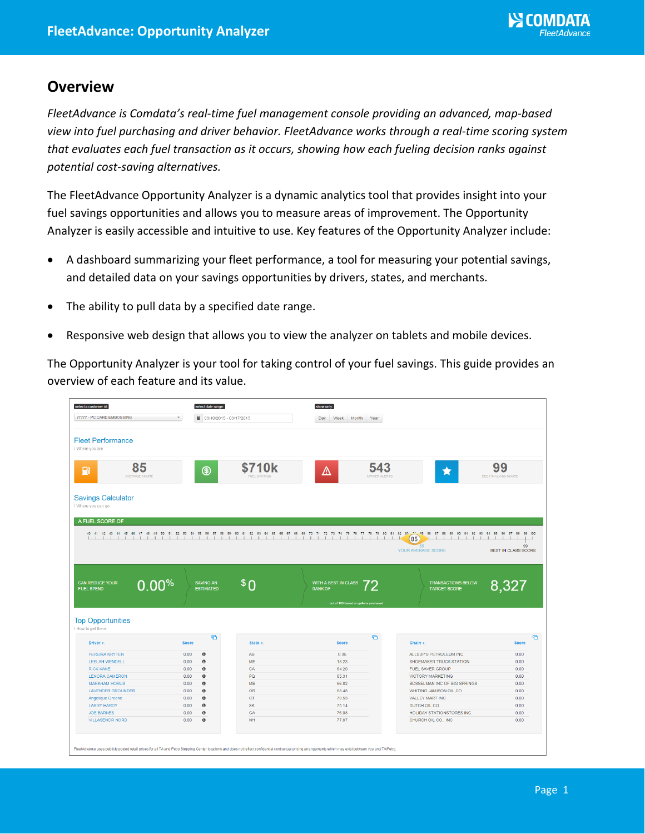### **Overview**

*FleetAdvance is Comdata's real-time fuel management console providing an advanced, map-based view into fuel purchasing and driver behavior. FleetAdvance works through a real-time scoring system that evaluates each fuel transaction as it occurs, showing how each fueling decision ranks against potential cost-saving alternatives.*

The FleetAdvance Opportunity Analyzer is a dynamic analytics tool that provides insight into your fuel savings opportunities and allows you to measure areas of improvement. The Opportunity Analyzer is easily accessible and intuitive to use. Key features of the Opportunity Analyzer include:

- A dashboard summarizing your fleet performance, a tool for measuring your potential savings, and detailed data on your savings opportunities by drivers, states, and merchants.
- The ability to pull data by a specified date range.
- Responsive web design that allows you to view the analyzer on tablets and mobile devices.

The Opportunity Analyzer is your tool for taking control of your fuel savings. This guide provides an overview of each feature and its value.

| select a customer id:<br>77777 - PC CARD EMBOSSING | select date range:<br>$\boldsymbol{\mathrm{v}}$ |                              | show only:                                                                                                                                                                                 |                                                  |                            |
|----------------------------------------------------|-------------------------------------------------|------------------------------|--------------------------------------------------------------------------------------------------------------------------------------------------------------------------------------------|--------------------------------------------------|----------------------------|
|                                                    | ■ 03/10/2015 - 03/17/2015                       |                              | Day<br>Week<br>Month<br>Year                                                                                                                                                               |                                                  |                            |
| <b>Fleet Performance</b><br>/ Where you are        |                                                 |                              |                                                                                                                                                                                            |                                                  |                            |
| 85<br>$\mathbf{F}$<br>AVERAGE SCORE                | $^{\circledR}$                                  | \$710k<br><b>IFI SAVINGS</b> | 543<br>Δ<br><b>DRIVER ALERTS</b>                                                                                                                                                           | ★                                                | 99<br>BEST IN CLASS SCORE  |
| <b>Savings Calculator</b><br>/ Where you can go    |                                                 |                              |                                                                                                                                                                                            |                                                  |                            |
| A FUEL SCORE OF                                    |                                                 |                              |                                                                                                                                                                                            |                                                  |                            |
|                                                    |                                                 |                              | 40 41 42 43 44 45 46 47 48 49 50 51 52 53 54 55 56 57 58 59 60 61 62 63 64 65 66 67 68 69 70 71 72 73 74 75 76 77 78 79 80 81 62 83 23 54 55 68 97 98 99 90 91 92 93 94 95 96 97 98 99 100 | $\mathbf{L}$                                     |                            |
|                                                    |                                                 |                              |                                                                                                                                                                                            | (85)<br><b>R5</b>                                | 99                         |
|                                                    |                                                 |                              |                                                                                                                                                                                            | YOUR AVERAGE SCORE                               | <b>BEST IN CLASS SCORE</b> |
|                                                    |                                                 |                              |                                                                                                                                                                                            |                                                  |                            |
| <b>CAN REDUCE YOUR</b>                             | <b>SAVING AN</b>                                |                              | WITH A BEST IN CLASS                                                                                                                                                                       |                                                  |                            |
| 0.00%<br><b>FUEL SPEND</b>                         | <b>ESTIMATED</b>                                | ַ∩ \$                        | <b>RANK OF</b><br>out of 100 based on gallons purchased                                                                                                                                    | <b>TRANSACTIONS BELOW</b><br><b>TARGET SCORE</b> | 8,327                      |
| <b>Top Opportunities</b><br>/ How to get there     |                                                 |                              |                                                                                                                                                                                            |                                                  |                            |
| Driver v:                                          | ø<br><b>Score</b>                               | State v                      | ø<br><b>Score</b>                                                                                                                                                                          | Chain v                                          |                            |
| PEREIRA KRYTEN                                     | 0.00<br>$\bullet$                               | AB                           | 0.36                                                                                                                                                                                       | ALLSUP'S PETROLEUM INC                           | 0.00                       |
| LEELAH WENDELL                                     | 0.00<br>$\bullet$                               | ME                           | 18.23                                                                                                                                                                                      | SHOEMAKER TRUCK STATION                          | 0.00                       |
| <b>RICK KANE</b>                                   | 0.00<br>$\bullet$                               | CA                           | 64.20                                                                                                                                                                                      | <b>FUEL SAVER GROUP</b>                          | 0.00                       |
| <b>LENORA CAMERON</b>                              | $\bullet$<br>0.00                               | PQ                           | 65.31                                                                                                                                                                                      | <b>VICTORY MARKETING</b>                         | 0.00                       |
| <b>MARKHAM HORUS</b>                               | $\bullet$<br>0.00                               | MB                           | 66.82                                                                                                                                                                                      | BOSSELMAN INC OF BIG SPRINGS                     | 0.00                       |
| <b>LAVENDER GROUNDER</b>                           | $\bullet$<br>0.00                               | <b>OR</b>                    | 68.48                                                                                                                                                                                      | WHITING JAMISON OIL,CO                           | 0.00                       |
| Angelique Greene                                   | 0.00<br>$\bullet$                               | <b>CT</b>                    | 70.53                                                                                                                                                                                      | VALLEY MART INC                                  | 0.00                       |
| <b>LARRY HARDY</b>                                 | 0.00<br>$\bullet$                               | <b>SK</b>                    | 75.14                                                                                                                                                                                      | DUTCH OIL CO.                                    | 0.00                       |
| <b>JOE BARNES</b>                                  | $\bullet$<br>0.00                               | GA                           | 76.08                                                                                                                                                                                      | HOLIDAY STATIONSTORES INC.                       | 0.00                       |
| <b>VILLASENOR NORD</b>                             | $\bullet$<br>0.00                               | <b>NH</b>                    | 77.87                                                                                                                                                                                      | CHURCH OIL CO., INC                              | <b>Score</b><br>0.00       |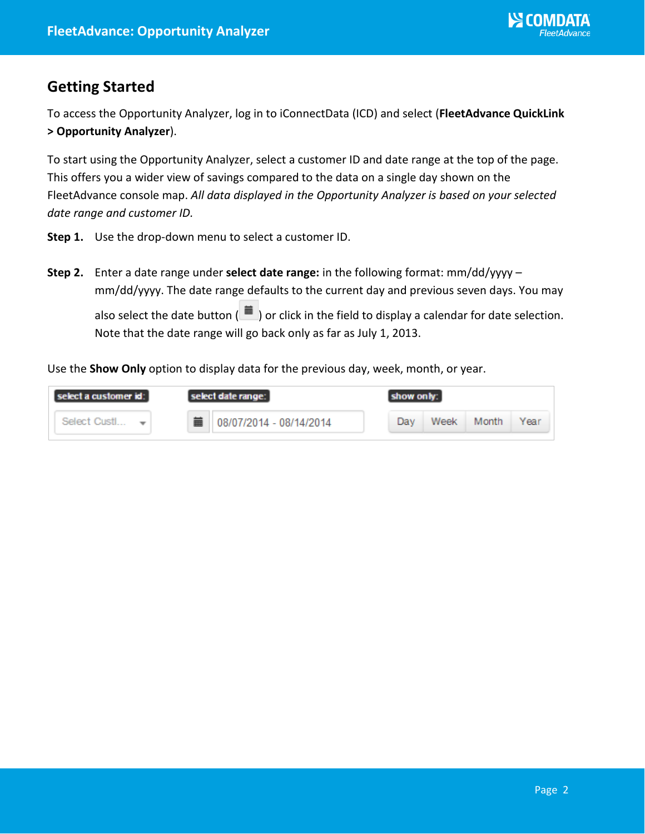## <span id="page-3-0"></span>**Getting Started**

To access the Opportunity Analyzer, log in to iConnectData (ICD) and select (**FleetAdvance QuickLink > Opportunity Analyzer**).

To start using the Opportunity Analyzer, select a customer ID and date range at the top of the page. This offers you a wider view of savings compared to the data on a single day shown on the FleetAdvance console map. *All data displayed in the Opportunity Analyzer is based on your selected date range and customer ID.*

- **Step 1.** Use the drop-down menu to select a customer ID.
- **Step 2.** Enter a date range under **select date range:** in the following format: mm/dd/yyyy mm/dd/yyyy. The date range defaults to the current day and previous seven days. You may also select the date button  $\begin{pmatrix} 1 \ \end{pmatrix}$  or click in the field to display a calendar for date selection. Note that the date range will go back only as far as July 1, 2013.

Use the **Show Only** option to display data for the previous day, week, month, or year.

| select a customer id: | select date range:      | show only:                   |
|-----------------------|-------------------------|------------------------------|
| Select Custl          | 08/07/2014 - 08/14/2014 | Week<br>Year<br>Dav<br>Month |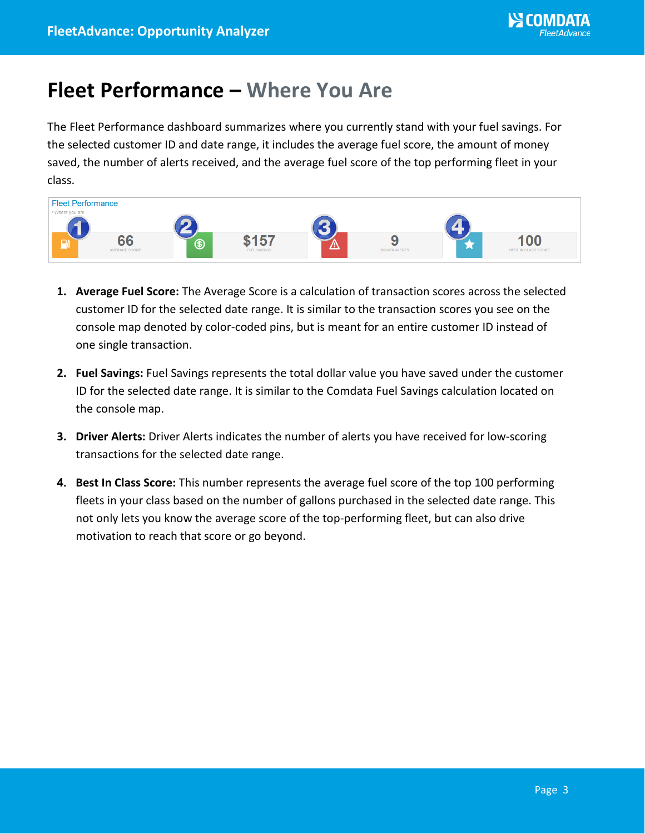## <span id="page-4-0"></span>**Fleet Performance – Where You Are**

The Fleet Performance dashboard summarizes where you currently stand with your fuel savings. For the selected customer ID and date range, it includes the average fuel score, the amount of money saved, the number of alerts received, and the average fuel score of the top performing fleet in your class.



- **1. Average Fuel Score:** The Average Score is a calculation of transaction scores across the selected customer ID for the selected date range. It is similar to the transaction scores you see on the console map denoted by color-coded pins, but is meant for an entire customer ID instead of one single transaction.
- **2. Fuel Savings:** Fuel Savings represents the total dollar value you have saved under the customer ID for the selected date range. It is similar to the Comdata Fuel Savings calculation located on the console map.
- **3. Driver Alerts:** Driver Alerts indicates the number of alerts you have received for low-scoring transactions for the selected date range.
- **4. Best In Class Score:** This number represents the average fuel score of the top 100 performing fleets in your class based on the number of gallons purchased in the selected date range. This not only lets you know the average score of the top-performing fleet, but can also drive motivation to reach that score or go beyond.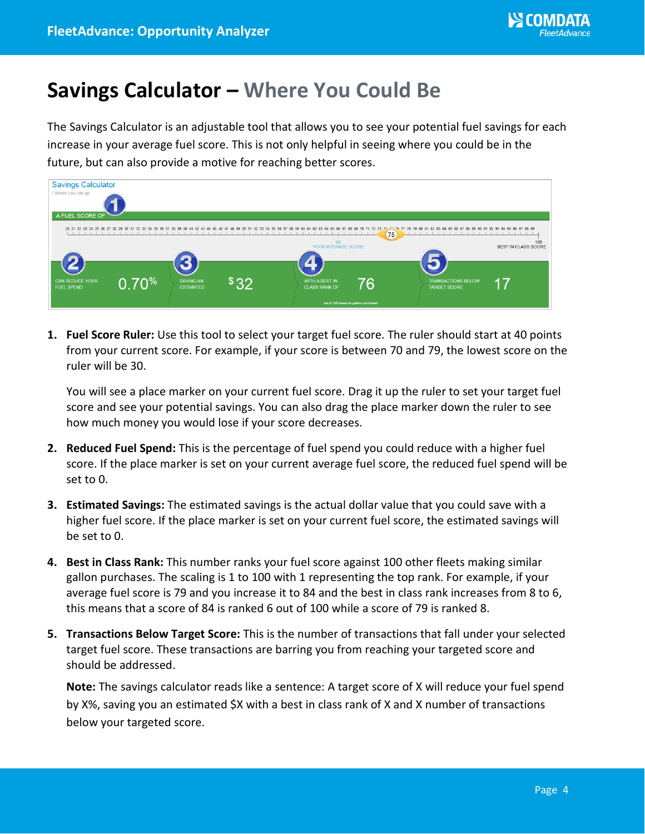## <span id="page-5-0"></span>**Savings Calculator – Where You Could Be**

The Savings Calculator is an adjustable tool that allows you to see your potential fuel savings for each increase in your average fuel score. This is not only helpful in seeing where you could be in the future, but can also provide a motive for reaching better scores.

| <b>Savings Calculator</b><br>/ Where you can go<br>A FUEL SCORE OF |       |                                      |      |                                                                                 |    |                                                                                                                                                                                                                                 |                                   |
|--------------------------------------------------------------------|-------|--------------------------------------|------|---------------------------------------------------------------------------------|----|---------------------------------------------------------------------------------------------------------------------------------------------------------------------------------------------------------------------------------|-----------------------------------|
|                                                                    |       | 5                                    |      | 66<br>YOUR AVERAGE SCORE                                                        | 75 | 20 21 22 23 24 25 26 27 28 29 30 31 32 33 34 35 36 37 38 39 40 41 42 43 44 45 46 47 48 49 50 51 52 53 54 55 56 57 58 59 60 61 62 63 64 65 66 67 68 69 70 71 72 73 74 74 75 78 79 80 81 82 83 84 85 86 87 88 89 90 91 92 93 94 9 | 100<br><b>BEST IN CLASS SCORE</b> |
| <b>CAN REDUCE YOUR</b><br><b>FUEL SPEND</b>                        | 0.70% | <b>SAVING AN</b><br><b>ESTIMATED</b> | \$32 | WITH A BEST IN<br><b>CLASS RANK OF</b><br>out of 100 based on gallons purchased | 76 | <b>TRANSACTIONS BELOW</b><br><b>TARGET SCORE</b>                                                                                                                                                                                |                                   |

**1. Fuel Score Ruler:** Use this tool to select your target fuel score. The ruler should start at 40 points from your current score. For example, if your score is between 70 and 79, the lowest score on the ruler will be 30.

You will see a place marker on your current fuel score. Drag it up the ruler to set your target fuel score and see your potential savings. You can also drag the place marker down the ruler to see how much money you would lose if your score decreases.

- **2. Reduced Fuel Spend:** This is the percentage of fuel spend you could reduce with a higher fuel score. If the place marker is set on your current average fuel score, the reduced fuel spend will be set to 0.
- **3. Estimated Savings:** The estimated savings is the actual dollar value that you could save with a higher fuel score. If the place marker is set on your current fuel score, the estimated savings will be set to 0.
- **4. Best in Class Rank:** This number ranks your fuel score against 100 other fleets making similar gallon purchases. The scaling is 1 to 100 with 1 representing the top rank. For example, if your average fuel score is 79 and you increase it to 84 and the best in class rank increases from 8 to 6, this means that a score of 84 is ranked 6 out of 100 while a score of 79 is ranked 8.
- **5. Transactions Below Target Score:** This is the number of transactions that fall under your selected target fuel score. These transactions are barring you from reaching your targeted score and should be addressed.

**Note:** The savings calculator reads like a sentence: A target score of X will reduce your fuel spend by X%, saving you an estimated \$X with a best in class rank of X and X number of transactions below your targeted score.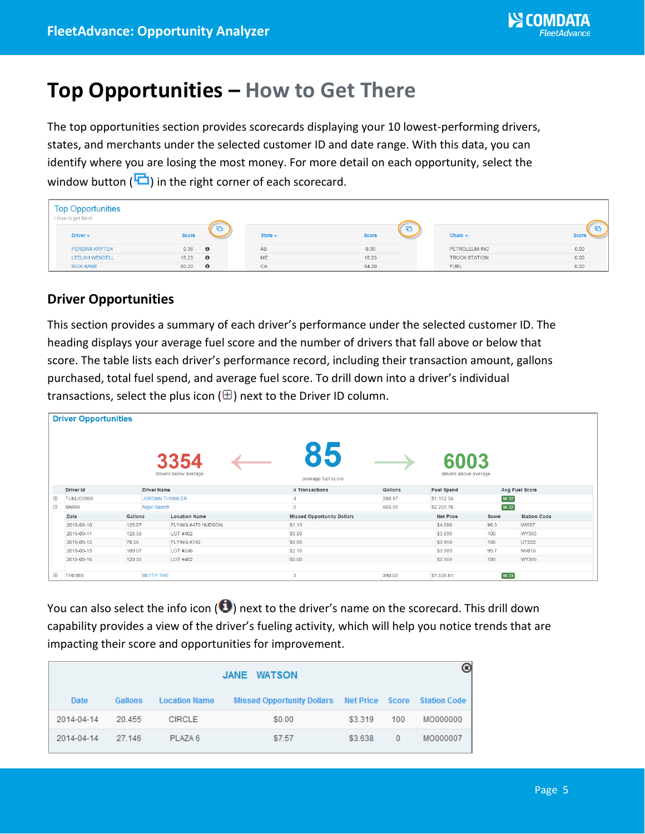## <span id="page-6-0"></span>**Top Opportunities – How to Get There**

The top opportunities section provides scorecards displaying your 10 lowest-performing drivers, states, and merchants under the selected customer ID and date range. With this data, you can identify where you are losing the most money. For more detail on each opportunity, select the window button ( $\Box$ ) in the right corner of each scorecard.

| <b>Top Opportunities</b><br>/ How to get there |              |           |                      |                          |                      |              |
|------------------------------------------------|--------------|-----------|----------------------|--------------------------|----------------------|--------------|
| Driver <sub>v:</sub>                           | <b>Score</b> | <b>P</b>  | State $\mathbf{v}$ : | <b>F</b><br><b>Score</b> | Chain $\mathbf{v}_1$ | <b>Score</b> |
| PEREIRA KRYTEN                                 | 0.36         | $\bullet$ | AB                   | 0.36                     | PETROLEUM INC        | 0.00         |
| <b>LEELAH WENDELL</b>                          | 18.23        | $\bullet$ | <b>ME</b>            | 18.23                    | <b>TRUCK STATION</b> | 0.00         |
| <b>RICK KANE</b>                               | 60.20        | $\bullet$ | CA                   | 64.20                    | <b>FUEL</b>          | 0.00         |

#### **Driver Opportunities**

This section provides a summary of each driver's performance under the selected customer ID. The heading displays your average fuel score and the number of drivers that fall above or below that score. The table lists each driver's performance record, including their transaction amount, gallons purchased, total fuel spend, and average fuel score. To drill down into a driver's individual transactions, select the plus icon ( $\boxplus$ ) next to the Driver ID column.

|             | <b>Driver Opportunities</b>      |                      |                               |                                   |                |                               |                     |                     |  |  |  |
|-------------|----------------------------------|----------------------|-------------------------------|-----------------------------------|----------------|-------------------------------|---------------------|---------------------|--|--|--|
|             |                                  |                      | 3354<br>drivers below average | 85<br>average fuel score          |                | 6003<br>drivers above average |                     |                     |  |  |  |
|             | <b>Driver Id</b>                 | <b>Driver Name</b>   |                               | # Transactions                    | <b>Gallons</b> | <b>Fuel Spend</b>             |                     | Avg Fuel Score      |  |  |  |
| $^{\circ}$  | TUMJO5868                        |                      | <b>JORDAN TUMMLER</b>         |                                   | 288.17         | \$1,152.34                    | 98.32               |                     |  |  |  |
| Θ           | <b>BARNI</b>                     | <b>Nigel Barrett</b> |                               | 5                                 | 553.33         |                               | 98.32<br>\$2,203.76 |                     |  |  |  |
|             | Date                             | Gallons              | <b>Location Name</b>          | <b>Missed Opportunity Dollars</b> |                | <b>Net Price</b>              | Score               | <b>Station Code</b> |  |  |  |
|             | 2015-03-10                       | 125.07               | FLYING #470 HUDSON            | \$1.13                            |                | \$4,099                       | 96.3                | WI587               |  |  |  |
|             | 2015-03-11                       | 128.58               | LOT #402                      | \$0.00                            |                | \$3.899                       | 100                 | WY395               |  |  |  |
|             | 2015-03-12                       | 70.26                | FLYING #742                   | \$0.00                            |                |                               | 100                 | UT222               |  |  |  |
|             | 109.07<br>2015-03-15<br>LOT #246 |                      |                               | \$2.18                            |                |                               | 95.7                | <b>NV016</b>        |  |  |  |
|             | 2015-03-16                       | 120.35               | LOT #402                      | \$0.00                            |                | \$3.959                       | 100                 | WY395               |  |  |  |
| $\bigoplus$ | THEBE6                           | <b>BETTY THE</b>     |                               | 3                                 | 390.03         | \$1,538.81                    | 98.33               |                     |  |  |  |

You can also select the info icon ( $\bigcirc$ ) next to the driver's name on the scorecard. This drill down capability provides a view of the driver's fueling activity, which will help you notice trends that are impacting their score and opportunities for improvement.

| JANE WATSON |         |                      |                                                         |         |              |          |  |
|-------------|---------|----------------------|---------------------------------------------------------|---------|--------------|----------|--|
| Date        | Gallons | <b>Location Name</b> | Missed Opportunity Dollars Net Price Score Station Code |         |              |          |  |
| 2014-04-14  | 20.455  | <b>CIRCLE</b>        | \$0.00                                                  | \$3,319 | 100          | MO000000 |  |
| 2014-04-14  | 27.146  | PLAZA 6              | \$7.57                                                  | \$3,638 | $\mathbf{0}$ | MO000007 |  |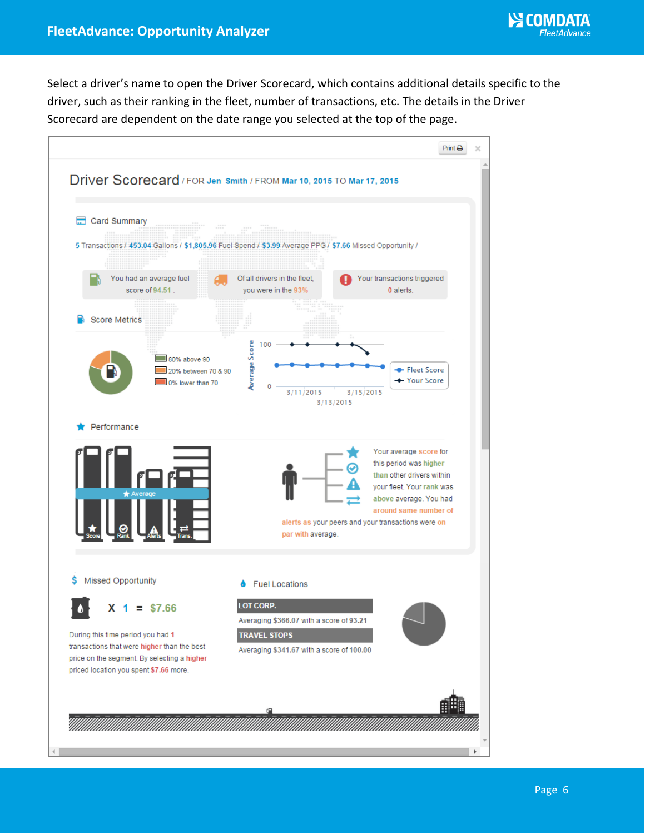Select a driver's name to open the Driver Scorecard, which contains additional details specific to the driver, such as their ranking in the fleet, number of transactions, etc. The details in the Driver Scorecard are dependent on the date range you selected at the top of the page.

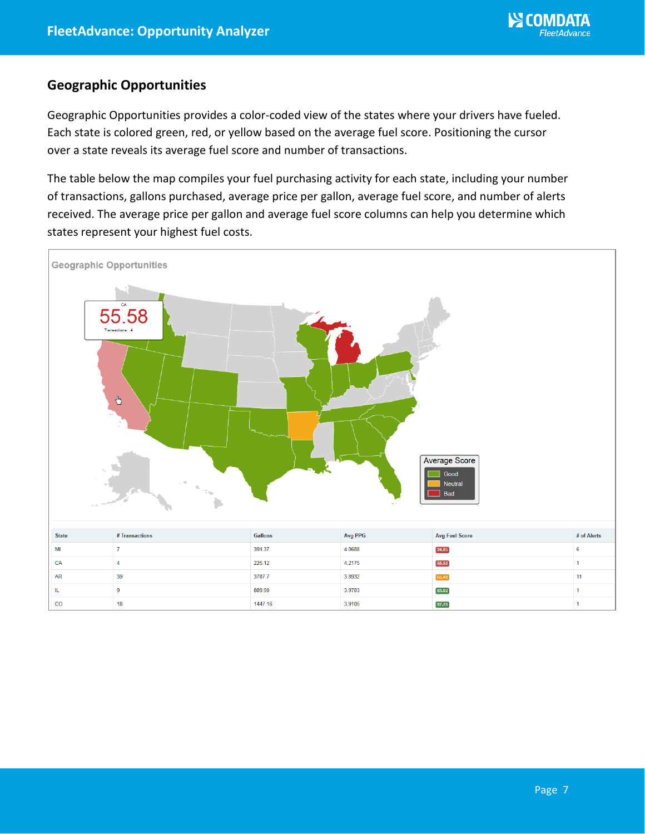#### **Geographic Opportunities**

Geographic Opportunities provides a color-coded view of the states where your drivers have fueled. Each state is colored green, red, or yellow based on the average fuel score. Positioning the cursor over a state reveals its average fuel score and number of transactions.

The table below the map compiles your fuel purchasing activity for each state, including your number of transactions, gallons purchased, average price per gallon, average fuel score, and number of alerts received. The average price per gallon and average fuel score columns can help you determine which states represent your highest fuel costs.